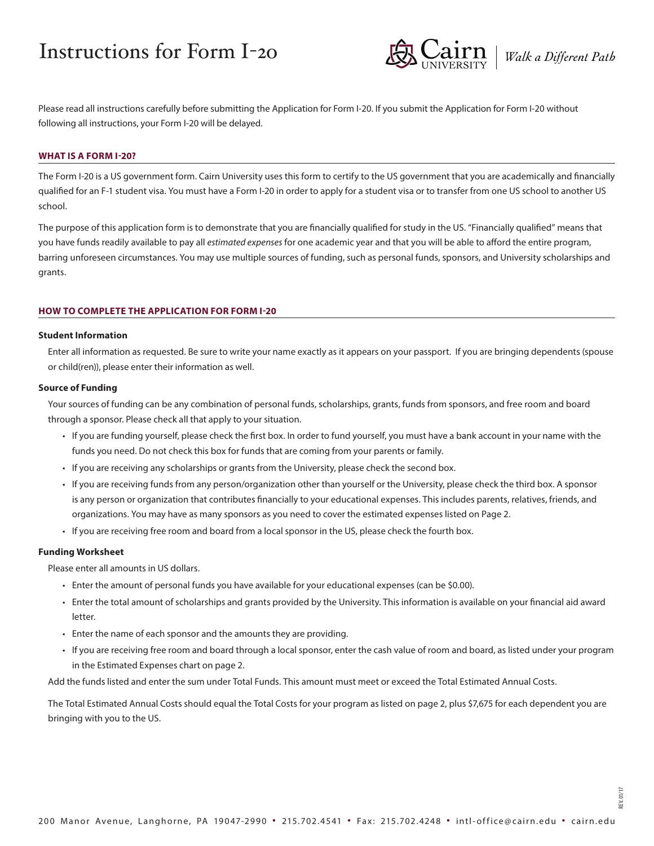# Instructions for Form I-2o



Please read all instructions carefully before submitting the Application for Form I-20. If you submit the Application for Form I-20 without following all instructions, your Form I-20 will be delayed.

#### **WHAT IS A FORM I-20?**

The Form I-20 is a US government form. Cairn University uses this form to certify to the US government that you are academically and financially qualified for an F-1 student visa. You must have a Form I-20 in order to apply for a student visa or to transfer from one US school to another US school.

The purpose of this application form is to demonstrate that you are financially qualified for study in the US. "Financially qualified" means that you have funds readily available to pay all *estimated expenses* for one academic year and that you will be able to afford the entire program, barring unforeseen circumstances. You may use multiple sources of funding, such as personal funds, sponsors, and University scholarships and grants.

#### **HOW TO COMPLETE THE APPLICATION FOR FORM I-20**

#### **Student Information**

Enter all information as requested. Be sure to write your name exactly as it appears on your passport. If you are bringing dependents (spouse or child(ren)), please enter their information as well.

#### **Source of Funding**

Your sources of funding can be any combination of personal funds, scholarships, grants, funds from sponsors, and free room and board through a sponsor. Please check all that apply to your situation.

- If you are funding yourself, please check the first box. In order to fund yourself, you must have a bank account in your name with the funds you need. Do not check this box for funds that are coming from your parents or family.
- If you are receiving any scholarships or grants from the University, please check the second box.
- If you are receiving funds from any person/organization other than yourself or the University, please check the third box. A sponsor is any person or organization that contributes financially to your educational expenses. This includes parents, relatives, friends, and organizations. You may have as many sponsors as you need to cover the estimated expenses listed on Page 2.
- If you are receiving free room and board from a local sponsor in the US, please check the fourth box.

## **Funding Worksheet**

Please enter all amounts in US dollars.

- Enter the amount of personal funds you have available for your educational expenses (can be \$0.00).
- Enter the total amount of scholarships and grants provided by the University. This information is available on your financial aid award letter.
- Enter the name of each sponsor and the amounts they are providing.
- If you are receiving free room and board through a local sponsor, enter the cash value of room and board, as listed under your program in the Estimated Expenses chart on page 2.

Add the funds listed and enter the sum under Total Funds. This amount must meet or exceed the Total Estimated Annual Costs.

The Total Estimated Annual Costs should equal the Total Costs for your program as listed on page 2, plus \$7,675 for each dependent you are bringing with you to the US.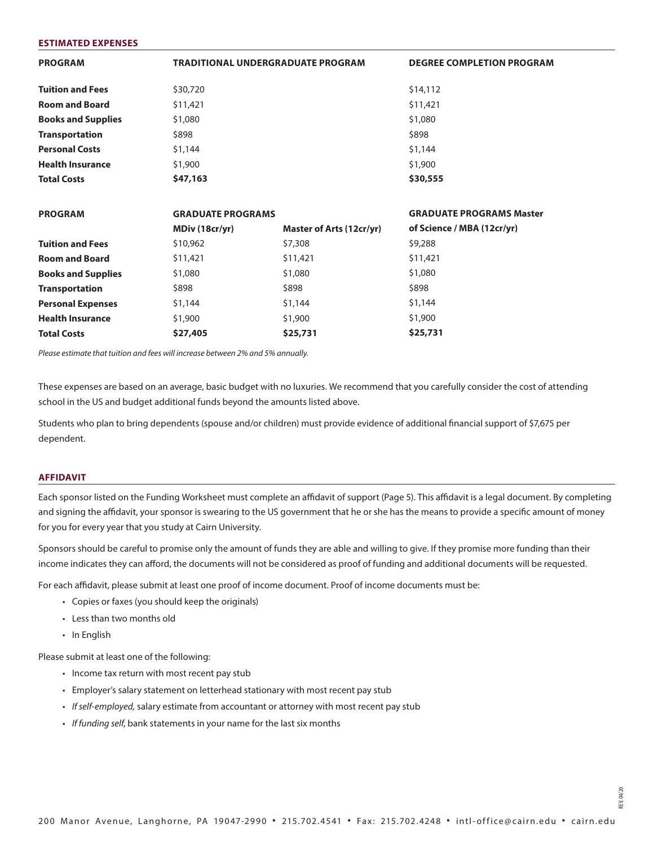| <b>PROGRAM</b>            | <b>TRADITIONAL UNDERGRADUATE PROGRAM</b> |                          | <b>DEGREE COMPLETION PROGRAM</b> |  |
|---------------------------|------------------------------------------|--------------------------|----------------------------------|--|
| <b>Tuition and Fees</b>   | \$30,720                                 |                          | \$14,112                         |  |
| <b>Room and Board</b>     | \$11,421                                 |                          | \$11,421                         |  |
| <b>Books and Supplies</b> | \$1,080                                  |                          | \$1,080                          |  |
| <b>Transportation</b>     | \$898                                    |                          | \$898                            |  |
| <b>Personal Costs</b>     | \$1,144                                  |                          | \$1,144                          |  |
| <b>Health Insurance</b>   | \$1,900                                  |                          | \$1,900                          |  |
| <b>Total Costs</b>        | \$47,163                                 |                          | \$30,555                         |  |
| <b>PROGRAM</b>            | <b>GRADUATE PROGRAMS</b>                 |                          | <b>GRADUATE PROGRAMS Master</b>  |  |
|                           | MDiv (18cr/yr)                           | Master of Arts (12cr/yr) | of Science / MBA (12cr/yr)       |  |
| <b>Tuition and Fees</b>   | \$10,962                                 | \$7,308                  | \$9,288                          |  |
| <b>Room and Board</b>     | \$11,421                                 | \$11,421                 | \$11,421                         |  |
| <b>Books and Supplies</b> | \$1,080                                  | \$1,080                  | \$1,080                          |  |
| <b>Transportation</b>     | \$898                                    | \$898                    | \$898                            |  |
| <b>Personal Expenses</b>  | \$1,144                                  | \$1,144                  | \$1,144                          |  |
| <b>Health Insurance</b>   | \$1,900                                  | \$1,900                  | \$1,900                          |  |
| <b>Total Costs</b>        | \$27,405                                 | \$25,731                 | \$25,731                         |  |
|                           |                                          |                          |                                  |  |

*Please estimate that tuition and fees will increase between 2% and 5% annually.*

These expenses are based on an average, basic budget with no luxuries. We recommend that you carefully consider the cost of attending school in the US and budget additional funds beyond the amounts listed above.

Students who plan to bring dependents (spouse and/or children) must provide evidence of additional financial support of \$7,675 per dependent.

## **AFFIDAVIT**

**ESTIMATED EXPENSES**

Each sponsor listed on the Funding Worksheet must complete an affidavit of support (Page 5). This affidavit is a legal document. By completing and signing the affidavit, your sponsor is swearing to the US government that he or she has the means to provide a specific amount of money for you for every year that you study at Cairn University.

Sponsors should be careful to promise only the amount of funds they are able and willing to give. If they promise more funding than their income indicates they can afford, the documents will not be considered as proof of funding and additional documents will be requested.

For each affidavit, please submit at least one proof of income document. Proof of income documents must be:

- Copies or faxes (you should keep the originals)
- Less than two months old
- In English

Please submit at least one of the following:

- Income tax return with most recent pay stub
- Employer's salary statement on letterhead stationary with most recent pay stub
- *• If self-employed,* salary estimate from accountant or attorney with most recent pay stub
- *• If funding self*, bank statements in your name for the last six months

REV. 04/20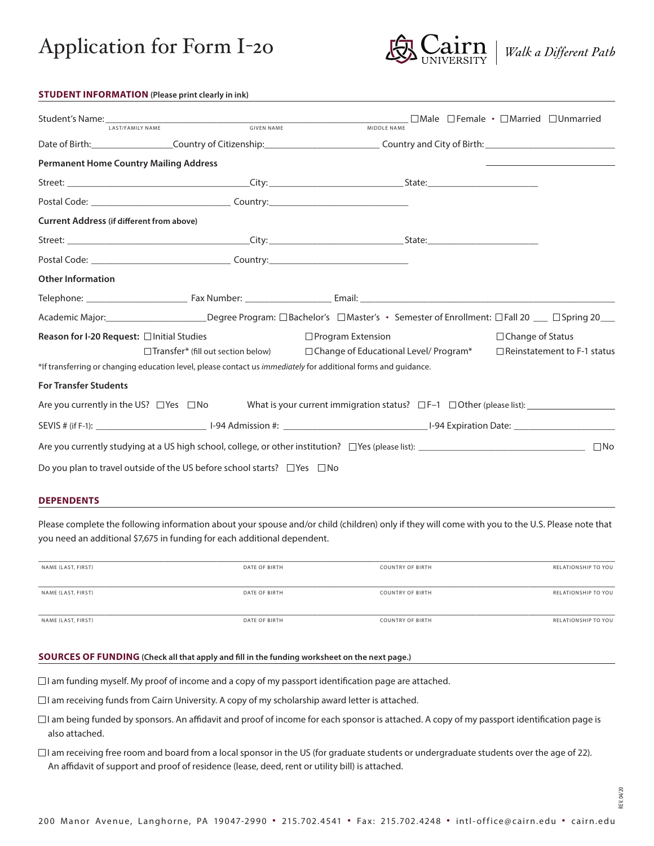



| <b>STUDENT INFORMATION</b> (Please print clearly in ink) |  |
|----------------------------------------------------------|--|
|----------------------------------------------------------|--|

| <b>LAST/FAMILY NAME</b>                          | <b>GIVEN NAME</b>                                                                        | MIDDLE NAME                                                                                                                       |                                    |
|--------------------------------------------------|------------------------------------------------------------------------------------------|-----------------------------------------------------------------------------------------------------------------------------------|------------------------------------|
|                                                  |                                                                                          | Date of Birth: Country of Citizenship: Country example 20 Country and City of Birth: Country and City of Birth:                   |                                    |
| <b>Permanent Home Country Mailing Address</b>    |                                                                                          |                                                                                                                                   |                                    |
|                                                  |                                                                                          |                                                                                                                                   |                                    |
|                                                  | Postal Code: Country: Country:                                                           |                                                                                                                                   |                                    |
| <b>Current Address (if different from above)</b> |                                                                                          |                                                                                                                                   |                                    |
|                                                  |                                                                                          |                                                                                                                                   |                                    |
|                                                  |                                                                                          |                                                                                                                                   |                                    |
| <b>Other Information</b>                         |                                                                                          |                                                                                                                                   |                                    |
|                                                  |                                                                                          |                                                                                                                                   |                                    |
|                                                  |                                                                                          | Academic Major: Degree Program: □Bachelor's □Master's · Semester of Enrollment: □Fall 20 __ □Spring 20__                          |                                    |
| Reason for I-20 Request: □ Initial Studies       |                                                                                          | $\Box$ Program Extension                                                                                                          | $\Box$ Change of Status            |
|                                                  |                                                                                          | $\Box$ Transfer* (fill out section below) $\Box$ Change of Educational Level/Program*                                             | $\Box$ Reinstatement to F-1 status |
|                                                  |                                                                                          | *If transferring or changing education level, please contact us <i>immediately</i> for additional forms and quidance.             |                                    |
| <b>For Transfer Students</b>                     |                                                                                          |                                                                                                                                   |                                    |
|                                                  |                                                                                          | Are you currently in the US? $\Box$ Yes $\Box$ No What is your current immigration status? $\Box$ F-1 $\Box$ Other (please list): |                                    |
|                                                  |                                                                                          |                                                                                                                                   |                                    |
|                                                  |                                                                                          |                                                                                                                                   | $\square$ No                       |
|                                                  | Do you plan to travel outside of the US before school starts? $\square$ Yes $\square$ No |                                                                                                                                   |                                    |

#### **DEPENDENTS**

Please complete the following information about your spouse and/or child (children) only if they will come with you to the U.S. Please note that you need an additional \$7,675 in funding for each additional dependent.

| NAME (LAST, FIRST) | DATE OF BIRTH | <b>COUNTRY OF BIRTH</b> | <b>RELATIONSHIP TO YOU</b> |
|--------------------|---------------|-------------------------|----------------------------|
|                    |               |                         |                            |
| NAME (LAST, FIRST) | DATE OF BIRTH | <b>COUNTRY OF BIRTH</b> | RELATIONSHIP TO YOU        |
|                    |               |                         |                            |
| NAME (LAST, FIRST) | DATE OF BIRTH | <b>COUNTRY OF BIRTH</b> | <b>RELATIONSHIP TO YOU</b> |

## **SOURCES OF FUNDING (Check all that apply and fill in the funding worksheet on the next page.)**

 $\Box$  I am funding myself. My proof of income and a copy of my passport identification page are attached.

 $\Box$ I am receiving funds from Cairn University. A copy of my scholarship award letter is attached.

- $\Box$  I am being funded by sponsors. An affidavit and proof of income for each sponsor is attached. A copy of my passport identification page is also attached.
- $\Box$  I am receiving free room and board from a local sponsor in the US (for graduate students or undergraduate students over the age of 22). An affidavit of support and proof of residence (lease, deed, rent or utility bill) is attached.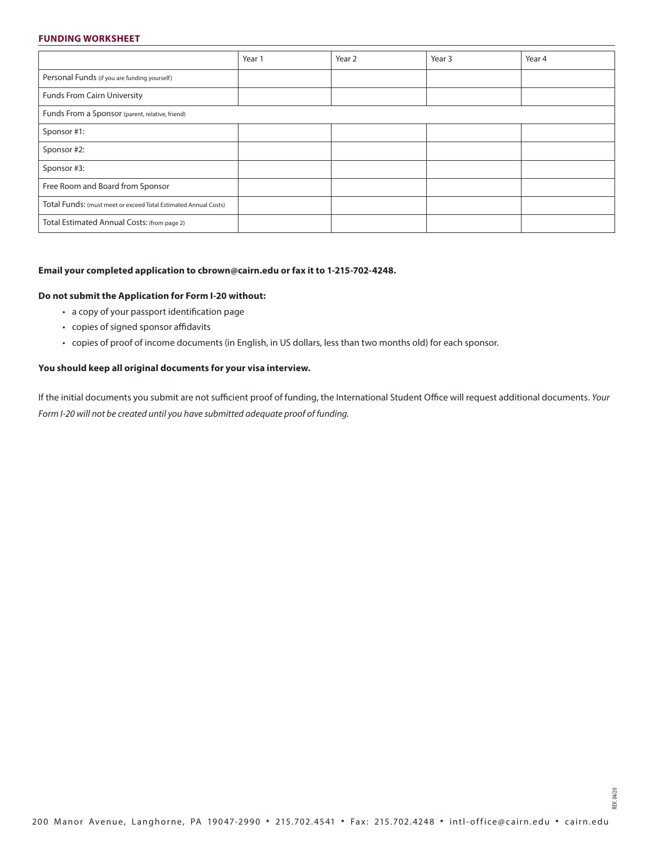### **FUNDING WORKSHEET**

|                                                                 | Year 1 | Year 2 | Year 3 | Year 4 |
|-----------------------------------------------------------------|--------|--------|--------|--------|
| Personal Funds (if you are funding yourself)                    |        |        |        |        |
| <b>Funds From Cairn University</b>                              |        |        |        |        |
| Funds From a Sponsor (parent, relative, friend)                 |        |        |        |        |
| Sponsor #1:                                                     |        |        |        |        |
| Sponsor #2:                                                     |        |        |        |        |
| Sponsor #3:                                                     |        |        |        |        |
| Free Room and Board from Sponsor                                |        |        |        |        |
| Total Funds: (must meet or exceed Total Estimated Annual Costs) |        |        |        |        |
| Total Estimated Annual Costs: (from page 2)                     |        |        |        |        |

## **Email your completed application to cbrown@cairn.edu or fax it to 1-215-702-4248.**

#### **Do not submit the Application for Form I-20 without:**

- a copy of your passport identification page
- copies of signed sponsor affidavits
- copies of proof of income documents (in English, in US dollars, less than two months old) for each sponsor.

## **You should keep all original documents for your visa interview.**

If the initial documents you submit are not sufficient proof of funding, the International Student Office will request additional documents. *Your Form I-20 will not be created until you have submitted adequate proof of funding.*